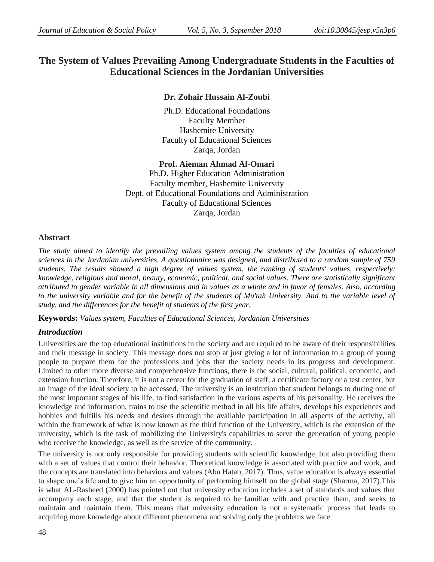# **The System of Values Prevailing Among Undergraduate Students in the Faculties of Educational Sciences in the Jordanian Universities**

## **Dr. Zohair Hussain Al-Zoubi**

Ph.D. Educational Foundations Faculty Member Hashemite University Faculty of Educational Sciences Zarqa, Jordan

**Prof. Aieman Ahmad Al-Omari** Ph.D. Higher Education Administration Faculty member, Hashemite University Dept. of Educational Foundations and Administration Faculty of Educational Sciences Zarqa, Jordan

## **Abstract**

*The study aimed to identify the prevailing values system among the students of the faculties of educational sciences in the Jordanian universities. A questionnaire was designed, and distributed to a random sample of 759 students. The results showed a high degree of values system, the ranking of students' values, respectively; knowledge, religious and moral, beauty, economic, political, and social values. There are statistically significant attributed to gender variable in all dimensions and in values as a whole and in favor of females. Also, according to the university variable and for the benefit of the students of Mu'tah University. And to the variable level of study, and the differences for the benefit of students of the first year.*

**Keywords:** *Values system, Faculties of Educational Sciences, Jordanian Universities*

## *Introduction*

Universities are the top educational institutions in the society and are required to be aware of their responsibilities and their message in society. This message does not stop at just giving a lot of information to a group of young people to prepare them for the professions and jobs that the society needs in its progress and development. Limited to other more diverse and comprehensive functions, there is the social, cultural, political, economic, and extension function. Therefore, it is not a center for the graduation of staff, a certificate factory or a test center, but an image of the ideal society to be accessed. The university is an institution that student belongs to during one of the most important stages of his life, to find satisfaction in the various aspects of his personality. He receives the knowledge and information, trains to use the scientific method in all his life affairs, develops his experiences and hobbies and fulfills his needs and desires through the available participation in all aspects of the activity, all within the framework of what is now known as the third function of the University, which is the extension of the university, which is the task of mobilizing the University's capabilities to serve the generation of young people who receive the knowledge, as well as the service of the community.

The university is not only responsible for providing students with scientific knowledge, but also providing them with a set of values that control their behavior. Theoretical knowledge is associated with practice and work, and the concepts are translated into behaviors and values (Abu Hatab, 2017). Thus, value education is always essential to shape one's life and to give him an opportunity of performing himself on the global stage (Sharma, 2017).This is what AL-Rasheed (2000) has pointed out that university education includes a set of standards and values that accompany each stage, and that the student is required to be familiar with and practice them, and seeks to maintain and maintain them. This means that university education is not a systematic process that leads to acquiring more knowledge about different phenomena and solving only the problems we face.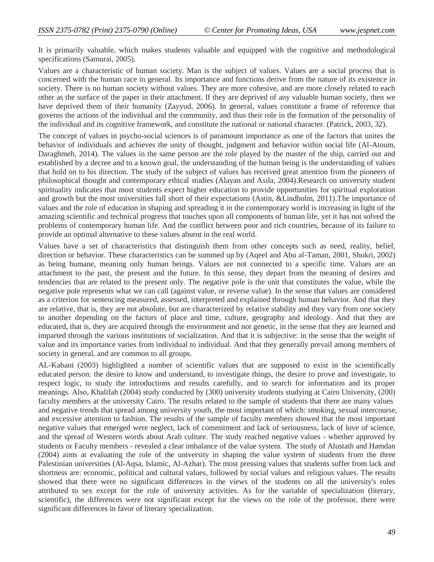It is primarily valuable, which makes students valuable and equipped with the cognitive and methodological specifications (Samurai, 2005).

Values are a characteristic of human society. Man is the subject of values. Values are a social process that is concerned with the human race in general. Its importance and functions derive from the nature of its existence in society. There is no human society without values. They are more cohesive, and are more closely related to each other as the surface of the paper in their attachment. If they are deprived of any valuable human society, then we have deprived them of their humanity (Zayyud, 2006). In general, values constitute a frame of reference that governs the actions of the individual and the community, and thus their role in the formation of the personality of the individual and its cognitive framework, and constitute the national or national character. (Patrick, 2003, 32).

The concept of values in psycho-social sciences is of paramount importance as one of the factors that unites the behavior of individuals and achieves the unity of thought, judgment and behavior within social life (Al-Atoum, Daraghmeh, 2014). The values in the same person are the role played by the master of the ship, carried out and established by a decree and to a known goal, the understanding of the human being is the understanding of values that hold on to his direction. The study of the subject of values has received great attention from the pioneers of philosophical thought and contemporary ethical studies (Alayan and Asila, 2004).Research on university student spirituality indicates that most students expect higher education to provide opportunities for spiritual exploration and growth but the most universities fall short of their expectations (Astin, &Lindholm, 2011).The importance of values and the role of education in shaping and spreading it in the contemporary world is increasing in light of the amazing scientific and technical progress that touches upon all components of human life, yet it has not solved the problems of contemporary human life. And the conflict between poor and rich countries, because of its failure to provide an optimal alternative to these values absent in the real world.

Values have a set of characteristics that distinguish them from other concepts such as need, reality, belief, direction or behavior. These characteristics can be summed up by (Aqeel and Abu al-Taman, 2001, Shukri, 2002) as being humane, meaning only human beings. Values are not connected to a specific time. Values are an attachment to the past, the present and the future. In this sense, they depart from the meaning of desires and tendencies that are related to the present only. The negative pole is the unit that constitutes the value, while the negative pole represents what we can call (against value, or reverse value). In the sense that values are considered as a criterion for sentencing measured, assessed, interpreted and explained through human behavior. And that they are relative, that is, they are not absolute, but are characterized by relative stability and they vary from one society to another depending on the factors of place and time, culture, geography and ideology. And that they are educated, that is, they are acquired through the environment and not genetic, in the sense that they are learned and imparted through the various institutions of socialization. And that it is subjective: in the sense that the weight of value and its importance varies from individual to individual. And that they generally prevail among members of society in general, and are common to all groups.

AL-Kabani (2003) highlighted a number of scientific values that are supposed to exist in the scientifically educated person: the desire to know and understand, to investigate things, the desire to prove and investigate, to respect logic, to study the introductions and results carefully, and to search for information and its proper meanings. Also, Khalifah (2004) study conducted by (300) university students studying at Cairo University, (200) faculty members at the university Cairo. The results related to the sample of students that there are many values and negative trends that spread among university youth, the most important of which: smoking, sexual intercourse, and excessive attention to fashion. The results of the sample of faculty members showed that the most important negative values that emerged were neglect, lack of commitment and lack of seriousness, lack of love of science, and the spread of Western words about Arab culture. The study reached negative values - whether approved by students or Faculty members - revealed a clear imbalance of the value system. The study of Alustath and Hamdan (2004) aims at evaluating the role of the university in shaping the value system of students from the three Palestinian universities (Al-Aqsa, Islamic, Al-Azhar). The most pressing values that students suffer from lack and shortness are: economic, political and cultural values, followed by social values and religious values. The results showed that there were no significant differences in the views of the students on all the university's roles attributed to sex except for the role of university activities. As for the variable of specialization (literary, scientific), the differences were not significant except for the views on the role of the professor, there were significant differences in favor of literary specialization.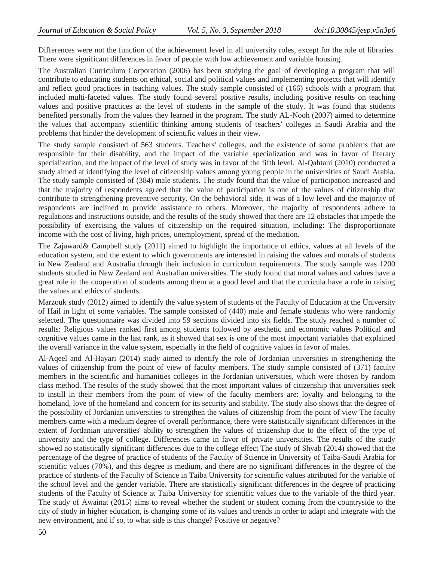Differences were not the function of the achievement level in all university roles, except for the role of libraries. There were significant differences in favor of people with low achievement and variable housing.

The Australian Curriculum Corporation (2006) has been studying the goal of developing a program that will contribute to educating students on ethical, social and political values and implementing projects that will identify and reflect good practices in teaching values. The study sample consisted of (166) schools with a program that included multi-faceted values. The study found several positive results, including positive results on teaching values and positive practices at the level of students in the sample of the study. It was found that students benefited personally from the values they learned in the program. The study AL-Nooh (2007) aimed to determine the values that accompany scientific thinking among students of teachers' colleges in Saudi Arabia and the problems that hinder the development of scientific values in their view.

The study sample consisted of 563 students. Teachers' colleges, and the existence of some problems that are responsible for their disability, and the impact of the variable specialization and was in favor of literary specialization, and the impact of the level of study was in favor of the fifth level. Al-Qahtani (2010) conducted a study aimed at identifying the level of citizenship values among young people in the universities of Saudi Arabia. The study sample consisted of (384) male students. The study found that the value of participation increased and that the majority of respondents agreed that the value of participation is one of the values of citizenship that contribute to strengthening preventive security. On the behavioral side, it was of a low level and the majority of respondents are inclined to provide assistance to others. Moreover, the majority of respondents adhere to regulations and instructions outside, and the results of the study showed that there are 12 obstacles that impede the possibility of exercising the values of citizenship on the required situation, including: The disproportionate income with the cost of living, high prices, unemployment, spread of the mediation.

The Zajaward& Campbell study (2011) aimed to highlight the importance of ethics, values at all levels of the education system, and the extent to which governments are interested in raising the values and morals of students in New Zealand and Australia through their inclusion in curriculum requirements. The study sample was 1200 students studied in New Zealand and Australian universities. The study found that moral values and values have a great role in the cooperation of students among them at a good level and that the curricula have a role in raising the values and ethics of students.

Marzouk study (2012) aimed to identify the value system of students of the Faculty of Education at the University of Hail in light of some variables. The sample consisted of (440) male and female students who were randomly selected. The questionnaire was divided into 59 sections divided into six fields. The study reached a number of results: Religious values ranked first among students followed by aesthetic and economic values Political and cognitive values came in the last rank, as it showed that sex is one of the most important variables that explained the overall variance in the value system, especially in the field of cognitive values in favor of males.

Al-Aqeel and Al-Hayari (2014) study aimed to identify the role of Jordanian universities in strengthening the values of citizenship from the point of view of faculty members. The study sample consisted of (371) faculty members in the scientific and humanities colleges in the Jordanian universities, which were chosen by random class method. The results of the study showed that the most important values of citizenship that universities seek to instill in their members from the point of view of the faculty members are: loyalty and belonging to the homeland, love of the homeland and concern for its security and stability. The study also shows that the degree of the possibility of Jordanian universities to strengthen the values of citizenship from the point of view The faculty members came with a medium degree of overall performance, there were statistically significant differences in the extent of Jordanian universities' ability to strengthen the values of citizenship due to the effect of the type of university and the type of college. Differences came in favor of private universities. The results of the study showed no statistically significant differences due to the college effect The study of Shyab (2014) showed that the percentage of the degree of practice of students of the Faculty of Science in University of Taiba-Saudi Arabia for scientific values (70%), and this degree is medium, and there are no significant differences in the degree of the practice of students of the Faculty of Science in Taiba University for scientific values attributed for the variable of the school level and the gender variable. There are statistically significant differences in the degree of practicing students of the Faculty of Science at Taiba University for scientific values due to the variable of the third year. The study of Awainat (2015) aims to reveal whether the student or student coming from the countryside to the city of study in higher education, is changing some of its values and trends in order to adapt and integrate with the new environment, and if so, to what side is this change? Positive or negative?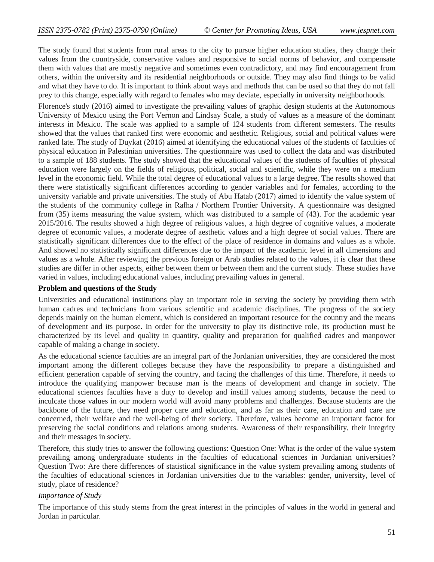The study found that students from rural areas to the city to pursue higher education studies, they change their values from the countryside, conservative values and responsive to social norms of behavior, and compensate them with values that are mostly negative and sometimes even contradictory, and may find encouragement from others, within the university and its residential neighborhoods or outside. They may also find things to be valid and what they have to do. It is important to think about ways and methods that can be used so that they do not fall prey to this change, especially with regard to females who may deviate, especially in university neighborhoods.

Florence's study (2016) aimed to investigate the prevailing values of graphic design students at the Autonomous University of Mexico using the Port Vernon and Lindsay Scale, a study of values as a measure of the dominant interests in Mexico. The scale was applied to a sample of 124 students from different semesters. The results showed that the values that ranked first were economic and aesthetic. Religious, social and political values were ranked late. The study of Duykat (2016) aimed at identifying the educational values of the students of faculties of physical education in Palestinian universities. The questionnaire was used to collect the data and was distributed to a sample of 188 students. The study showed that the educational values of the students of faculties of physical education were largely on the fields of religious, political, social and scientific, while they were on a medium level in the economic field. While the total degree of educational values to a large degree. The results showed that there were statistically significant differences according to gender variables and for females, according to the university variable and private universities. The study of Abu Hatab (2017) aimed to identify the value system of the students of the community college in Rafha / Northern Frontier University. A questionnaire was designed from (35) items measuring the value system, which was distributed to a sample of (43). For the academic year 2015/2016. The results showed a high degree of religious values, a high degree of cognitive values, a moderate degree of economic values, a moderate degree of aesthetic values and a high degree of social values. There are statistically significant differences due to the effect of the place of residence in domains and values as a whole. And showed no statistically significant differences due to the impact of the academic level in all dimensions and values as a whole. After reviewing the previous foreign or Arab studies related to the values, it is clear that these studies are differ in other aspects, either between them or between them and the current study. These studies have varied in values, including educational values, including prevailing values in general.

#### **Problem and questions of the Study**

Universities and educational institutions play an important role in serving the society by providing them with human cadres and technicians from various scientific and academic disciplines. The progress of the society depends mainly on the human element, which is considered an important resource for the country and the means of development and its purpose. In order for the university to play its distinctive role, its production must be characterized by its level and quality in quantity, quality and preparation for qualified cadres and manpower capable of making a change in society.

As the educational science faculties are an integral part of the Jordanian universities, they are considered the most important among the different colleges because they have the responsibility to prepare a distinguished and efficient generation capable of serving the country, and facing the challenges of this time. Therefore, it needs to introduce the qualifying manpower because man is the means of development and change in society. The educational sciences faculties have a duty to develop and instill values among students, because the need to inculcate those values in our modern world will avoid many problems and challenges. Because students are the backbone of the future, they need proper care and education, and as far as their care, education and care are concerned, their welfare and the well-being of their society. Therefore, values become an important factor for preserving the social conditions and relations among students. Awareness of their responsibility, their integrity and their messages in society.

Therefore, this study tries to answer the following questions: Question One: What is the order of the value system prevailing among undergraduate students in the faculties of educational sciences in Jordanian universities? Question Two: Are there differences of statistical significance in the value system prevailing among students of the faculties of educational sciences in Jordanian universities due to the variables: gender, university, level of study, place of residence?

#### *Importance of Study*

The importance of this study stems from the great interest in the principles of values in the world in general and Jordan in particular.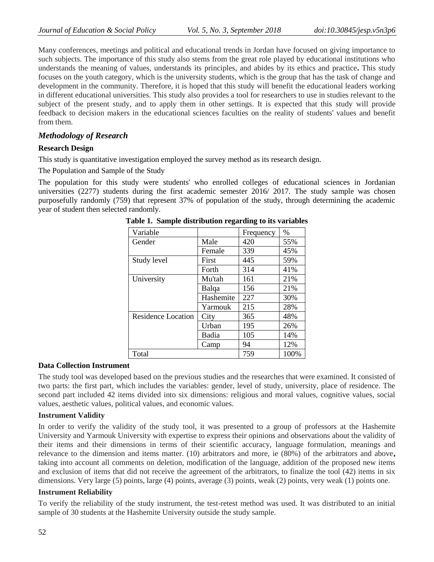Many conferences, meetings and political and educational trends in Jordan have focused on giving importance to such subjects. The importance of this study also stems from the great role played by educational institutions who understands the meaning of values, understands its principles, and abides by its ethics and practice**.** This study focuses on the youth category, which is the university students, which is the group that has the task of change and development in the community. Therefore, it is hoped that this study will benefit the educational leaders working in different educational universities. This study also provides a tool for researchers to use in studies relevant to the subject of the present study, and to apply them in other settings. It is expected that this study will provide feedback to decision makers in the educational sciences faculties on the reality of students' values and benefit from them.

### *Methodology of Research*

#### **Research Design**

This study is quantitative investigation employed the survey method as its research design.

The Population and Sample of the Study

The population for this study were students' who enrolled colleges of educational sciences in Jordanian universities (2277) students during the first academic semester 2016/ 2017. The study sample was chosen purposefully randomly (759) that represent 37% of population of the study, through determining the academic year of student then selected randomly.

| Variable           |           | Frequency | $\%$ |
|--------------------|-----------|-----------|------|
| Gender             | Male      | 420       | 55%  |
|                    | Female    | 339       | 45%  |
| Study level        | First     | 445       | 59%  |
|                    | Forth     | 314       | 41%  |
| University         | Mu'tah    | 161       | 21%  |
|                    | Balqa     | 156       | 21\% |
|                    | Hashemite | 227       | 30%  |
|                    | Yarmouk   | 215       | 28%  |
| Residence Location | City      | 365       | 48%  |
|                    | Urban     | 195       | 26%  |
|                    | Badia     | 105       | 14%  |
|                    | Camp      | 94        | 12%  |
| Total              |           | 759       | 100% |

**Table 1. Sample distribution regarding to its variables**

#### **Data Collection Instrument**

The study tool was developed based on the previous studies and the researches that were examined. It consisted of two parts: the first part, which includes the variables: gender, level of study, university, place of residence. The second part included 42 items divided into six dimensions: religious and moral values, cognitive values, social values, aesthetic values, political values, and economic values.

#### **Instrument Validity**

In order to verify the validity of the study tool, it was presented to a group of professors at the Hashemite University and Yarmouk University with expertise to express their opinions and observations about the validity of their items and their dimensions in terms of their scientific accuracy, language formulation, meanings and relevance to the dimension and items matter. (10) arbitrators and more, ie (80%) of the arbitrators and above**,**  taking into account all comments on deletion, modification of the language, addition of the proposed new items and exclusion of items that did not receive the agreement of the arbitrators, to finalize the tool (42) items in six dimensions. Very large (5) points, large (4) points, average (3) points, weak (2) points, very weak (1) points one.

#### **Instrument Reliability**

To verify the reliability of the study instrument, the test-retest method was used. It was distributed to an initial sample of 30 students at the Hashemite University outside the study sample.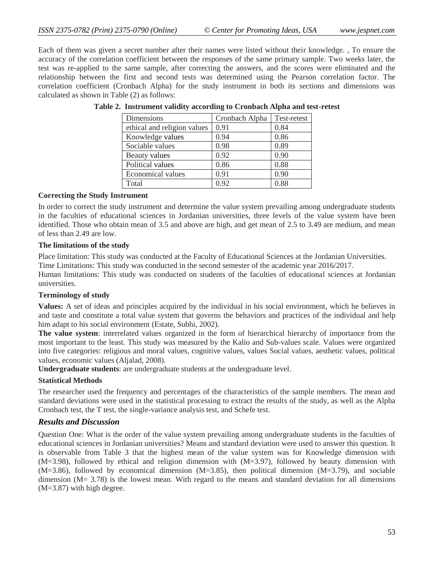Each of them was given a secret number after their names were listed without their knowledge. , To ensure the accuracy of the correlation coefficient between the responses of the same primary sample. Two weeks later, the test was re-applied to the same sample, after correcting the answers, and the scores were eliminated and the relationship between the first and second tests was determined using the Pearson correlation factor. The correlation coefficient (Cronbach Alpha) for the study instrument in both its sections and dimensions was calculated as shown in Table (2) as follows:

| Dimensions                  | Cronbach Alpha | Test-retest |
|-----------------------------|----------------|-------------|
| ethical and religion values | 0.91           | 0.84        |
| Knowledge values            | 0.94           | 0.86        |
| Sociable values             | 0.98           | 0.89        |
| Beauty values               | 0.92           | 0.90        |
| Political values            | 0.86           | 0.88        |
| Economical values           | 0.91           | 0.90        |
| Total                       | 0.92           | 0.88        |

#### **Table 2. Instrument validity according to Cronbach Alpha and test-retest**

#### **Correcting the Study Instrument**

In order to correct the study instrument and determine the value system prevailing among undergraduate students in the faculties of educational sciences in Jordanian universities, three levels of the value system have been identified. Those who obtain mean of 3.5 and above are high, and get mean of 2.5 to 3.49 are medium, and mean of less than 2.49 are low.

#### **The limitations of the study**

Place limitation: This study was conducted at the Faculty of Educational Sciences at the Jordanian Universities. Time Limitations: This study was conducted in the second semester of the academic year 2016/2017.

Human limitations: This study was conducted on students of the faculties of educational sciences at Jordanian universities.

#### **Terminology of study**

**Values:** A set of ideas and principles acquired by the individual in his social environment, which he believes in and taste and constitute a total value system that governs the behaviors and practices of the individual and help him adapt to his social environment (Estate, Subhi, 2002).

**The value system**: interrelated values organized in the form of hierarchical hierarchy of importance from the most important to the least. This study was measured by the Kalio and Sub-values scale. Values were organized into five categories: religious and moral values, cognitive values, values Social values, aesthetic values, political values, economic values (Aljalad, 2008).

**Undergraduate students**: are undergraduate students at the undergraduate level.

#### **Statistical Methods**

The researcher used the frequency and percentages of the characteristics of the sample members. The mean and standard deviations were used in the statistical processing to extract the results of the study, as well as the Alpha Cronbach test, the T test, the single-variance analysis test, and Schefe test.

## *Results and Discussion*

Question One: What is the order of the value system prevailing among undergraduate students in the faculties of educational sciences in Jordanian universities? Means and standard deviation were used to answer this question. It is observable from Table 3 that the highest mean of the value system was for Knowledge dimension with (M=3.98), followed by ethical and religion dimension with (M=3.97), followed by beauty dimension with  $(M=3.86)$ , followed by economical dimension  $(M=3.85)$ , then political dimension  $(M=3.79)$ , and sociable dimension  $(M= 3.78)$  is the lowest mean. With regard to the means and standard deviation for all dimensions (M=3.87) with high degree.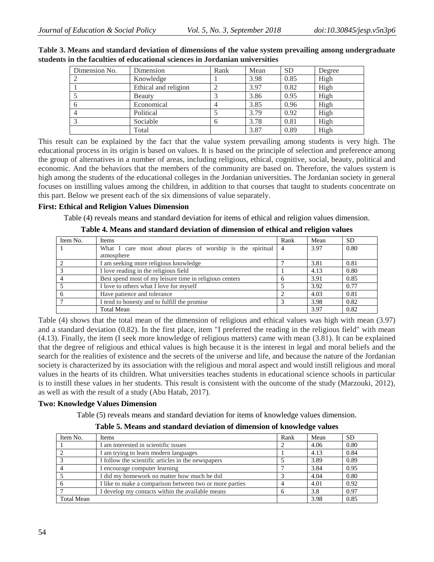| Dimension No. | Dimension            | Rank | Mean | <b>SD</b> | Degree |
|---------------|----------------------|------|------|-----------|--------|
|               | Knowledge            |      | 3.98 | 0.85      | High   |
|               | Ethical and religion |      | 3.97 | 0.82      | High   |
|               | Beauty               |      | 3.86 | 0.95      | High   |
|               | Economical           |      | 3.85 | 0.96      | High   |
|               | Political            |      | 3.79 | 0.92      | High   |
|               | Sociable             | h    | 3.78 | 0.81      | High   |
|               | Total                |      | 3.87 | 0.89      | High   |

#### **Table 3. Means and standard deviation of dimensions of the value system prevailing among undergraduate students in the faculties of educational sciences in Jordanian universities**

This result can be explained by the fact that the value system prevailing among students is very high. The educational process in its origin is based on values. It is based on the principle of selection and preference among the group of alternatives in a number of areas, including religious, ethical, cognitive, social, beauty, political and economic. And the behaviors that the members of the community are based on. Therefore, the values system is high among the students of the educational colleges in the Jordanian universities. The Jordanian society in general focuses on instilling values among the children, in addition to that courses that taught to students concentrate on this part. Below we present each of the six dimensions of value separately.

#### **First: Ethical and Religion Values Dimension**

Table (4) reveals means and standard deviation for items of ethical and religion values dimension.

**Table 4. Means and standard deviation of dimension of ethical and religion values**

| Item No. | Items                                                     | Rank           | Mean | <b>SD</b> |
|----------|-----------------------------------------------------------|----------------|------|-----------|
|          | What I care most about places of worship is the spiritual | $\overline{4}$ | 3.97 | 0.80      |
|          | atmosphere                                                |                |      |           |
|          | I am seeking more religious knowledge                     |                | 3.81 | 0.81      |
|          | I love reading in the religious field                     |                | 4.13 | 0.80      |
|          | Best spend most of my leisure time in religious centers   |                | 3.91 | 0.85      |
|          | I love to others what I love for myself                   |                | 3.92 | 0.77      |
|          | Have patience and tolerance                               |                | 4.03 | 0.81      |
|          | I tend to honesty and to fulfill the promise              |                | 3.98 | 0.82      |
|          | <b>Total Mean</b>                                         |                | 3.97 | 0.82      |

Table (4) shows that the total mean of the dimension of religious and ethical values was high with mean (3.97) and a standard deviation (0.82). In the first place, item "I preferred the reading in the religious field" with mean (4.13). Finally, the item (I seek more knowledge of religious matters) came with mean (3.81). It can be explained that the degree of religious and ethical values is high because it is the interest in legal and moral beliefs and the search for the realities of existence and the secrets of the universe and life, and because the nature of the Jordanian society is characterized by its association with the religious and moral aspect and would instill religious and moral values in the hearts of its children. What universities teaches students in educational science schools in particular is to instill these values in her students. This result is consistent with the outcome of the study (Marzouki, 2012), as well as with the result of a study (Abu Hatab, 2017).

#### **Two: Knowledge Values Dimension**

Table (5) reveals means and standard deviation for items of knowledge values dimension.

**Table 5. Means and standard deviation of dimension of knowledge values**

| Item No.          | <b>Items</b>                                            | Rank         | Mean | <b>SD</b> |
|-------------------|---------------------------------------------------------|--------------|------|-----------|
|                   | I am interested in scientific issues                    |              | 4.06 | 0.80      |
|                   | I am trying to learn modern languages                   |              | 4.13 | 0.84      |
|                   | I follow the scientific articles in the newspapers      |              | 3.89 | 0.89      |
|                   | I encourage computer learning                           |              | 3.84 | 0.95      |
|                   | I did my homework no matter how much he did             |              | 4.04 | 0.80      |
|                   | I like to make a comparison between two or more parties |              | 4.01 | 0.92      |
|                   | I develop my contacts within the available means        | <sub>0</sub> | 3.8  | 0.97      |
| <b>Total Mean</b> |                                                         |              | 3.98 | 0.85      |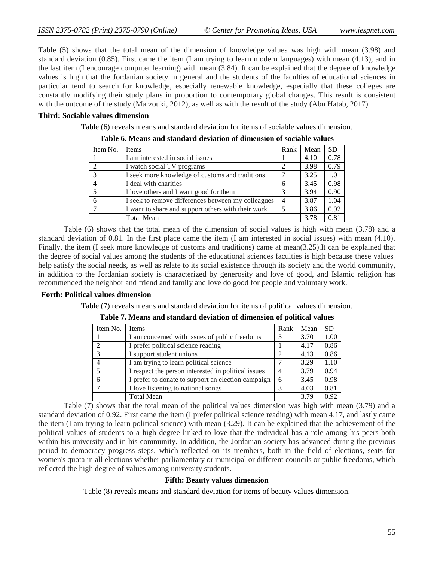Table (5) shows that the total mean of the dimension of knowledge values was high with mean (3.98) and standard deviation (0.85). First came the item (I am trying to learn modern languages) with mean (4.13), and in the last item (I encourage computer learning) with mean (3.84). It can be explained that the degree of knowledge values is high that the Jordanian society in general and the students of the faculties of educational sciences in particular tend to search for knowledge, especially renewable knowledge, especially that these colleges are constantly modifying their study plans in proportion to contemporary global changes. This result is consistent with the outcome of the study (Marzouki, 2012), as well as with the result of the study (Abu Hatab, 2017).

#### **Third: Sociable values dimension**

Table (6) reveals means and standard deviation for items of sociable values dimension.

| Item No.      | <b>Items</b>                                       | Rank | Mean | <b>SD</b> |  |
|---------------|----------------------------------------------------|------|------|-----------|--|
|               | I am interested in social issues                   |      | 4.10 | 0.78      |  |
|               | I watch social TV programs                         |      | 3.98 | 0.79      |  |
| $\mathcal{R}$ | I seek more knowledge of customs and traditions    |      | 3.25 | 1.01      |  |
|               | I deal with charities                              | 6    | 3.45 | 0.98      |  |
|               | I love others and I want good for them             |      | 3.94 | 0.90      |  |
|               | I seek to remove differences between my colleagues |      | 3.87 | 1.04      |  |
|               | I want to share and support others with their work |      | 3.86 | 0.92      |  |
|               | <b>Total Mean</b>                                  |      | 3.78 | 0.81      |  |

**Table 6. Means and standard deviation of dimension of sociable values**

Table (6) shows that the total mean of the dimension of social values is high with mean (3.78) and a standard deviation of 0.81. In the first place came the item (I am interested in social issues) with mean (4.10). Finally, the item (I seek more knowledge of customs and traditions) came at mean(3.25).It can be explained that the degree of social values among the students of the educational sciences faculties is high because these values help satisfy the social needs, as well as relate to its social existence through its society and the world community, in addition to the Jordanian society is characterized by generosity and love of good, and Islamic religion has recommended the neighbor and friend and family and love do good for people and voluntary work.

#### **Forth: Political values dimension**

Table (7) reveals means and standard deviation for items of political values dimension.

| Item No. | <b>Items</b>                                        | Rank | Mean | <b>SD</b> |
|----------|-----------------------------------------------------|------|------|-----------|
|          | I am concerned with issues of public freedoms       |      | 3.70 | 1.00      |
| 2        | I prefer political science reading                  |      | 4.17 | 0.86      |
| 3        | I support student unions                            |      | 4.13 | 0.86      |
| 4        | I am trying to learn political science              |      | 3.29 | 1.10      |
| 5        | I respect the person interested in political issues |      | 3.79 | 0.94      |
| 6        | I prefer to donate to support an election campaign  | 6    | 3.45 | 0.98      |
|          | I love listening to national songs                  | 3    | 4.03 | 0.81      |
|          | <b>Total Mean</b>                                   |      | 3.79 | 0.92      |

**Table 7. Means and standard deviation of dimension of political values**

Table (7) shows that the total mean of the political values dimension was high with mean (3.79) and a standard deviation of 0.92. First came the item (I prefer political science reading) with mean 4.17, and lastly came the item (I am trying to learn political science) with mean (3.29). It can be explained that the achievement of the political values of students to a high degree linked to love that the individual has a role among his peers both within his university and in his community. In addition, the Jordanian society has advanced during the previous period to democracy progress steps, which reflected on its members, both in the field of elections, seats for women's quota in all elections whether parliamentary or municipal or different councils or public freedoms, which reflected the high degree of values among university students.

#### **Fifth: Beauty values dimension**

Table (8) reveals means and standard deviation for items of beauty values dimension.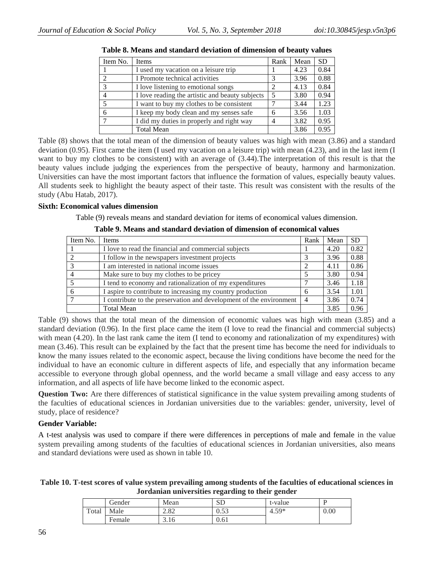| Item No.                    | <b>Items</b>                                    | Rank | Mean | <b>SD</b> |
|-----------------------------|-------------------------------------------------|------|------|-----------|
|                             | I used my vacation on a leisure trip            |      | 4.23 | 0.84      |
| $\mathcal{D}_{\mathcal{L}}$ | I Promote technical activities                  |      | 3.96 | 0.88      |
| $\mathcal{R}$               | I love listening to emotional songs             | 2    | 4.13 | 0.84      |
|                             | I love reading the artistic and beauty subjects |      | 3.80 | 0.94      |
|                             | I want to buy my clothes to be consistent       |      | 3.44 | 1.23      |
| 6                           | I keep my body clean and my senses safe         | 6    | 3.56 | 1.03      |
|                             | I did my duties in properly and right way       |      | 3.82 | 0.95      |
|                             | <b>Total Mean</b>                               |      | 3.86 | 0.95      |

| Table 8. Means and standard deviation of dimension of beauty values |  |  |  |  |
|---------------------------------------------------------------------|--|--|--|--|
|---------------------------------------------------------------------|--|--|--|--|

Table (8) shows that the total mean of the dimension of beauty values was high with mean (3.86) and a standard deviation (0.95). First came the item (I used my vacation on a leisure trip) with mean (4.23), and in the last item (I want to buy my clothes to be consistent) with an average of (3.44).The interpretation of this result is that the beauty values include judging the experiences from the perspective of beauty, harmony and harmonization. Universities can have the most important factors that influence the formation of values, especially beauty values. All students seek to highlight the beauty aspect of their taste. This result was consistent with the results of the study (Abu Hatab, 2017).

#### **Sixth: Economical values dimension**

Table (9) reveals means and standard deviation for items of economical values dimension.

| Item No. | <b>Items</b>                                                        | Rank           | Mean | <b>SD</b> |
|----------|---------------------------------------------------------------------|----------------|------|-----------|
|          | I love to read the financial and commercial subjects                |                | 4.20 | 0.82      |
|          | I follow in the newspapers investment projects                      |                | 3.96 | 0.88      |
| 3        | I am interested in national income issues                           |                | 4.11 | 0.86      |
|          | Make sure to buy my clothes to be pricey                            |                | 3.80 | 0.94      |
|          | I tend to economy and rationalization of my expenditures            |                | 3.46 | 1.18      |
|          | I aspire to contribute to increasing my country production          | 6              | 3.54 | 1.01      |
|          | I contribute to the preservation and development of the environment | $\overline{4}$ | 3.86 | 0.74      |
|          | <b>Total Mean</b>                                                   |                | 3.85 | 0.96      |

**Table 9. Means and standard deviation of dimension of economical values**

Table (9) shows that the total mean of the dimension of economic values was high with mean (3.85) and a standard deviation (0.96). In the first place came the item (I love to read the financial and commercial subjects) with mean (4.20). In the last rank came the item (I tend to economy and rationalization of my expenditures) with mean (3.46). This result can be explained by the fact that the present time has become the need for individuals to know the many issues related to the economic aspect, because the living conditions have become the need for the individual to have an economic culture in different aspects of life, and especially that any information became accessible to everyone through global openness, and the world became a small village and easy access to any information, and all aspects of life have become linked to the economic aspect.

**Question Two:** Are there differences of statistical significance in the value system prevailing among students of the faculties of educational sciences in Jordanian universities due to the variables: gender, university, level of study, place of residence?

## **Gender Variable:**

A t-test analysis was used to compare if there were differences in perceptions of male and female in the value system prevailing among students of the faculties of educational sciences in Jordanian universities, also means and standard deviations were used as shown in table 10.

**Table 10. T-test scores of value system prevailing among students of the faculties of educational sciences in Jordanian universities regarding to their gender**

|       | Gender | Mean        | <b>SD</b>  | t-value | . .  |
|-------|--------|-------------|------------|---------|------|
| Total | Male   | າດາ<br>2.OZ | 52<br>u.JJ | $4.59*$ | 0.00 |
|       | Female | 3.16        | 0.61       |         |      |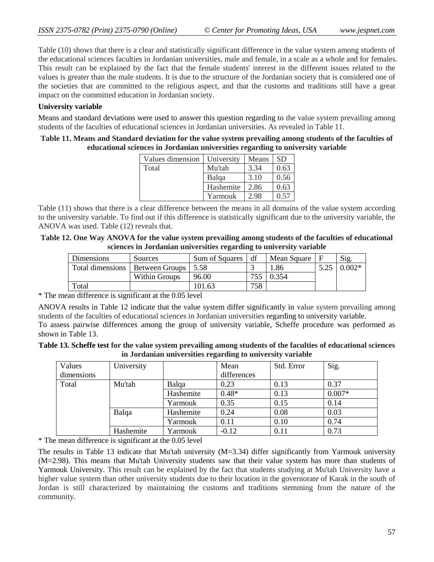Table (10) shows that there is a clear and statistically significant difference in the value system among students of the educational sciences faculties in Jordanian universities, male and female, in a scale as a whole and for females. This result can be explained by the fact that the female students' interest in the different issues related to the values is greater than the male students. It is due to the structure of the Jordanian society that is considered one of the societies that are committed to the religious aspect, and that the customs and traditions still have a great impact on the committed education in Jordanian society.

### **University variable**

Means and standard deviations were used to answer this question regarding to the value system prevailing among students of the faculties of educational sciences in Jordanian universities. As revealed in Table 11.

#### **Table 11. Means and Standard deviation for the value system prevailing among students of the faculties of educational sciences in Jordanian universities regarding to university variable**

| Values dimension | University | Means | <b>SD</b> |
|------------------|------------|-------|-----------|
| Total            | Mu'tah     | 3.34  | 0.63      |
|                  | Balqa      | 3.10  | 0.56      |
|                  | Hashemite  | 2.86  | 0.63      |
|                  | Yarmouk    | 2.98  | 0.57      |

Table (11) shows that there is a clear difference between the means in all domains of the value system according to the university variable. To find out if this difference is statistically significant due to the university variable, the ANOVA was used. Table (12) reveals that.

| Table 12. One Way ANOVA for the value system prevailing among students of the faculties of educational |
|--------------------------------------------------------------------------------------------------------|
| sciences in Jordanian universities regarding to university variable                                    |

| <b>Dimensions</b>                        | <b>Sources</b> | Sum of Squares | df  | Mean Square | Sig      |
|------------------------------------------|----------------|----------------|-----|-------------|----------|
| Total dimensions   Between Groups   5.58 |                |                |     | 1.86        | $0.002*$ |
|                                          | Within Groups  | 96.00          |     | 0.354       |          |
| Total                                    |                | 101.63         | 758 |             |          |

\* The mean difference is significant at the 0.05 level

ANOVA results in Table 12 indicate that the value system differ significantly in value system prevailing among students of the faculties of educational sciences in Jordanian universities regarding to university variable. To assess pairwise differences among the group of university variable, Scheffe procedure was performed as shown in Table 13.

| Table 13. Scheffe test for the value system prevailing among students of the faculties of educational sciences |
|----------------------------------------------------------------------------------------------------------------|
| in Jordanian universities regarding to university variable                                                     |

| Values     | University |           | Mean        | Std. Error | Sig.     |
|------------|------------|-----------|-------------|------------|----------|
| dimensions |            |           | differences |            |          |
| Total      | Mu'tah     | Balga     | 0.23        | 0.13       | 0.37     |
|            |            | Hashemite | $0.48*$     | 0.13       | $0.007*$ |
|            |            | Yarmouk   | 0.35        | 0.15       | 0.14     |
|            | Balqa      | Hashemite | 0.24        | 0.08       | 0.03     |
|            |            | Yarmouk   | 0.11        | 0.10       | 0.74     |
|            | Hashemite  | Yarmouk   | $-0.12$     | 0.11       | 0.73     |

\* The mean difference is significant at the 0.05 level

The results in Table 13 indicate that Mu'tah university (M=3.34) differ significantly from Yarmouk university (M=2.98). This means that Mu'tah University students saw that their value system has more than students of Yarmouk University. This result can be explained by the fact that students studying at Mu'tah University have a higher value system than other university students due to their location in the governorate of Karak in the south of Jordan is still characterized by maintaining the customs and traditions stemming from the nature of the community.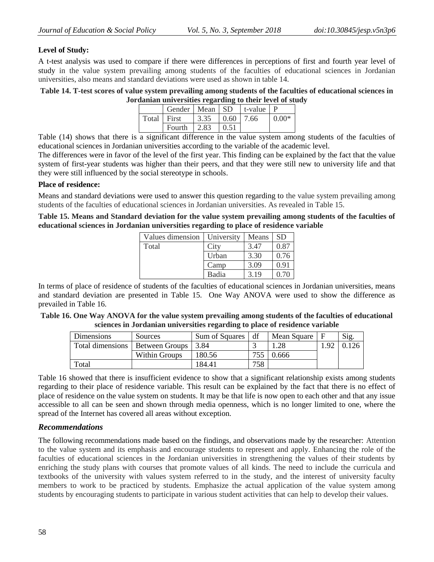### **Level of Study:**

A t-test analysis was used to compare if there were differences in perceptions of first and fourth year level of study in the value system prevailing among students of the faculties of educational sciences in Jordanian universities, also means and standard deviations were used as shown in table 14.

#### **Table 14. T-test scores of value system prevailing among students of the faculties of educational sciences in Jordanian universities regarding to their level of study**

|             | Gender   Mean   SD   t-value |      |               |         |
|-------------|------------------------------|------|---------------|---------|
| Total First |                              | 3.35 | $0.60$   7.66 | $0.00*$ |
|             | Fourth                       | 2.83 | 0.51          |         |

Table (14) shows that there is a significant difference in the value system among students of the faculties of educational sciences in Jordanian universities according to the variable of the academic level.

The differences were in favor of the level of the first year. This finding can be explained by the fact that the value system of first-year students was higher than their peers, and that they were still new to university life and that they were still influenced by the social stereotype in schools.

#### **Place of residence:**

Means and standard deviations were used to answer this question regarding to the value system prevailing among students of the faculties of educational sciences in Jordanian universities. As revealed in Table 15.

**Table 15. Means and Standard deviation for the value system prevailing among students of the faculties of educational sciences in Jordanian universities regarding to place of residence variable**

| Values dimension | University | Means | <b>SD</b> |
|------------------|------------|-------|-----------|
| Total            | City       | 3.47  | 0.87      |
|                  | Urban      | 3.30  | 0.76      |
|                  | Camp       | 3.09  | 0.91      |
|                  | Badia      | 3.19  | 0.70      |

In terms of place of residence of students of the faculties of educational sciences in Jordanian universities, means and standard deviation are presented in Table 15. One Way ANOVA were used to show the difference as prevailed in Table 16.

**Table 16. One Way ANOVA for the value system prevailing among students of the faculties of educational sciences in Jordanian universities regarding to place of residence variable**

| Dimensions                        | Sources       | Sum of Squares | df  | Mean Square |          | Sig. |
|-----------------------------------|---------------|----------------|-----|-------------|----------|------|
| Total dimensions   Between Groups |               | 3.84           |     |             | $\alpha$ |      |
|                                   | Within Groups | 180.56         | 755 | ).666       |          |      |
| Total                             |               | 184.41         | 758 |             |          |      |

Table 16 showed that there is insufficient evidence to show that a significant relationship exists among students regarding to their place of residence variable. This result can be explained by the fact that there is no effect of place of residence on the value system on students. It may be that life is now open to each other and that any issue accessible to all can be seen and shown through media openness, which is no longer limited to one, where the spread of the Internet has covered all areas without exception.

## *Recommendations*

The following recommendations made based on the findings, and observations made by the researcher: Attention to the value system and its emphasis and encourage students to represent and apply. Enhancing the role of the faculties of educational sciences in the Jordanian universities in strengthening the values of their students by enriching the study plans with courses that promote values of all kinds. The need to include the curricula and textbooks of the university with values system referred to in the study, and the interest of university faculty members to work to be practiced by students. Emphasize the actual application of the value system among students by encouraging students to participate in various student activities that can help to develop their values.